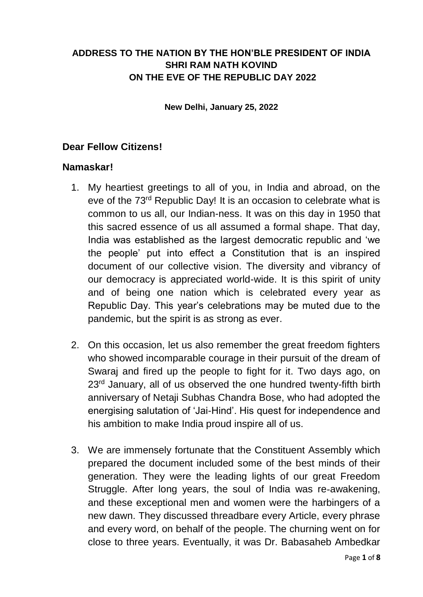## **ADDRESS TO THE NATION BY THE HON'BLE PRESIDENT OF INDIA SHRI RAM NATH KOVIND ON THE EVE OF THE REPUBLIC DAY 2022**

**New Delhi, January 25, 2022**

#### **Dear Fellow Citizens!**

#### **Namaskar!**

- 1. My heartiest greetings to all of you, in India and abroad, on the eve of the 73rd Republic Day! It is an occasion to celebrate what is common to us all, our Indian-ness. It was on this day in 1950 that this sacred essence of us all assumed a formal shape. That day, India was established as the largest democratic republic and 'we the people' put into effect a Constitution that is an inspired document of our collective vision. The diversity and vibrancy of our democracy is appreciated world-wide. It is this spirit of unity and of being one nation which is celebrated every year as Republic Day. This year's celebrations may be muted due to the pandemic, but the spirit is as strong as ever.
- 2. On this occasion, let us also remember the great freedom fighters who showed incomparable courage in their pursuit of the dream of Swaraj and fired up the people to fight for it. Two days ago, on 23<sup>rd</sup> January, all of us observed the one hundred twenty-fifth birth anniversary of Netaji Subhas Chandra Bose, who had adopted the energising salutation of 'Jai-Hind'. His quest for independence and his ambition to make India proud inspire all of us.
- 3. We are immensely fortunate that the Constituent Assembly which prepared the document included some of the best minds of their generation. They were the leading lights of our great Freedom Struggle. After long years, the soul of India was re-awakening, and these exceptional men and women were the harbingers of a new dawn. They discussed threadbare every Article, every phrase and every word, on behalf of the people. The churning went on for close to three years. Eventually, it was Dr. Babasaheb Ambedkar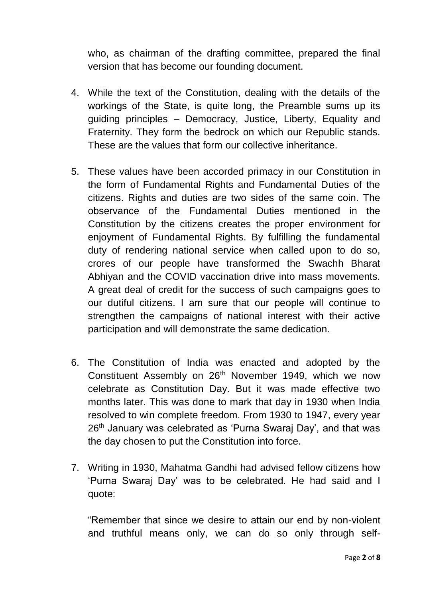who, as chairman of the drafting committee, prepared the final version that has become our founding document.

- 4. While the text of the Constitution, dealing with the details of the workings of the State, is quite long, the Preamble sums up its guiding principles – Democracy, Justice, Liberty, Equality and Fraternity. They form the bedrock on which our Republic stands. These are the values that form our collective inheritance.
- 5. These values have been accorded primacy in our Constitution in the form of Fundamental Rights and Fundamental Duties of the citizens. Rights and duties are two sides of the same coin. The observance of the Fundamental Duties mentioned in the Constitution by the citizens creates the proper environment for enjoyment of Fundamental Rights. By fulfilling the fundamental duty of rendering national service when called upon to do so, crores of our people have transformed the Swachh Bharat Abhiyan and the COVID vaccination drive into mass movements. A great deal of credit for the success of such campaigns goes to our dutiful citizens. I am sure that our people will continue to strengthen the campaigns of national interest with their active participation and will demonstrate the same dedication.
- 6. The Constitution of India was enacted and adopted by the Constituent Assembly on 26<sup>th</sup> November 1949, which we now celebrate as Constitution Day. But it was made effective two months later. This was done to mark that day in 1930 when India resolved to win complete freedom. From 1930 to 1947, every year 26<sup>th</sup> January was celebrated as 'Purna Swaraj Day', and that was the day chosen to put the Constitution into force.
- 7. Writing in 1930, Mahatma Gandhi had advised fellow citizens how 'Purna Swaraj Day' was to be celebrated. He had said and I quote:

"Remember that since we desire to attain our end by non-violent and truthful means only, we can do so only through self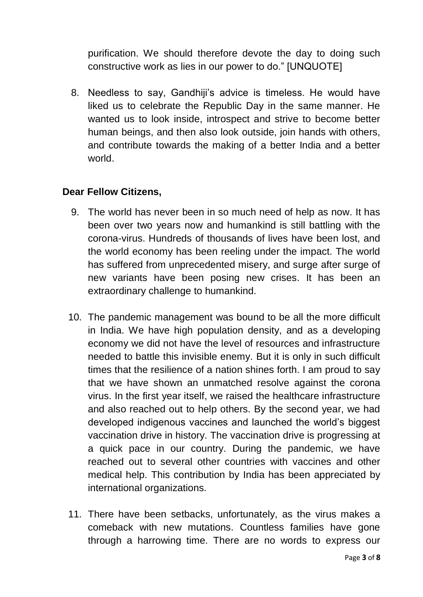purification. We should therefore devote the day to doing such constructive work as lies in our power to do." [UNQUOTE]

8. Needless to say, Gandhiji's advice is timeless. He would have liked us to celebrate the Republic Day in the same manner. He wanted us to look inside, introspect and strive to become better human beings, and then also look outside, join hands with others, and contribute towards the making of a better India and a better world.

## **Dear Fellow Citizens,**

- 9. The world has never been in so much need of help as now. It has been over two years now and humankind is still battling with the corona-virus. Hundreds of thousands of lives have been lost, and the world economy has been reeling under the impact. The world has suffered from unprecedented misery, and surge after surge of new variants have been posing new crises. It has been an extraordinary challenge to humankind.
- 10. The pandemic management was bound to be all the more difficult in India. We have high population density, and as a developing economy we did not have the level of resources and infrastructure needed to battle this invisible enemy. But it is only in such difficult times that the resilience of a nation shines forth. I am proud to say that we have shown an unmatched resolve against the corona virus. In the first year itself, we raised the healthcare infrastructure and also reached out to help others. By the second year, we had developed indigenous vaccines and launched the world's biggest vaccination drive in history. The vaccination drive is progressing at a quick pace in our country. During the pandemic, we have reached out to several other countries with vaccines and other medical help. This contribution by India has been appreciated by international organizations.
- 11. There have been setbacks, unfortunately, as the virus makes a comeback with new mutations. Countless families have gone through a harrowing time. There are no words to express our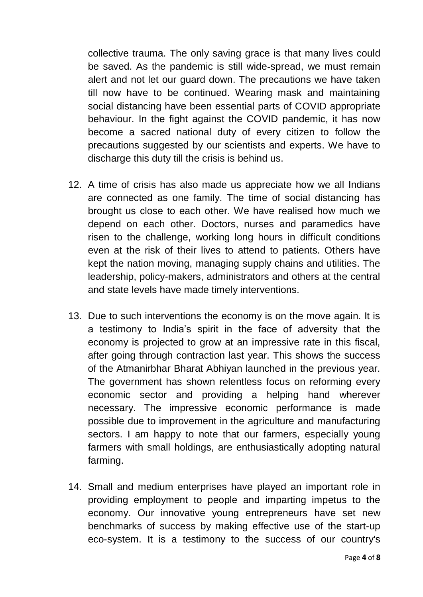collective trauma. The only saving grace is that many lives could be saved. As the pandemic is still wide-spread, we must remain alert and not let our guard down. The precautions we have taken till now have to be continued. Wearing mask and maintaining social distancing have been essential parts of COVID appropriate behaviour. In the fight against the COVID pandemic, it has now become a sacred national duty of every citizen to follow the precautions suggested by our scientists and experts. We have to discharge this duty till the crisis is behind us.

- 12. A time of crisis has also made us appreciate how we all Indians are connected as one family. The time of social distancing has brought us close to each other. We have realised how much we depend on each other. Doctors, nurses and paramedics have risen to the challenge, working long hours in difficult conditions even at the risk of their lives to attend to patients. Others have kept the nation moving, managing supply chains and utilities. The leadership, policy-makers, administrators and others at the central and state levels have made timely interventions.
- 13. Due to such interventions the economy is on the move again. It is a testimony to India's spirit in the face of adversity that the economy is projected to grow at an impressive rate in this fiscal, after going through contraction last year. This shows the success of the Atmanirbhar Bharat Abhiyan launched in the previous year. The government has shown relentless focus on reforming every economic sector and providing a helping hand wherever necessary. The impressive economic performance is made possible due to improvement in the agriculture and manufacturing sectors. I am happy to note that our farmers, especially young farmers with small holdings, are enthusiastically adopting natural farming.
- 14. Small and medium enterprises have played an important role in providing employment to people and imparting impetus to the economy. Our innovative young entrepreneurs have set new benchmarks of success by making effective use of the start-up eco-system. It is a testimony to the success of our country's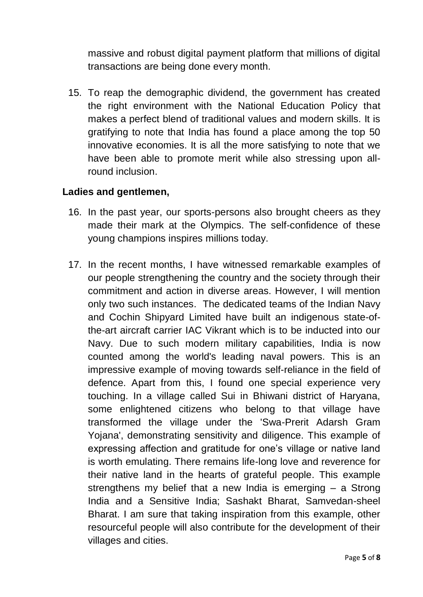massive and robust digital payment platform that millions of digital transactions are being done every month.

15. To reap the demographic dividend, the government has created the right environment with the National Education Policy that makes a perfect blend of traditional values and modern skills. It is gratifying to note that India has found a place among the top 50 innovative economies. It is all the more satisfying to note that we have been able to promote merit while also stressing upon allround inclusion.

## **Ladies and gentlemen,**

- 16. In the past year, our sports-persons also brought cheers as they made their mark at the Olympics. The self-confidence of these young champions inspires millions today.
- 17. In the recent months, I have witnessed remarkable examples of our people strengthening the country and the society through their commitment and action in diverse areas. However, I will mention only two such instances. The dedicated teams of the Indian Navy and Cochin Shipyard Limited have built an indigenous state-ofthe-art aircraft carrier IAC Vikrant which is to be inducted into our Navy. Due to such modern military capabilities, India is now counted among the world's leading naval powers. This is an impressive example of moving towards self-reliance in the field of defence. Apart from this, I found one special experience very touching. In a village called Sui in Bhiwani district of Haryana, some enlightened citizens who belong to that village have transformed the village under the 'Swa-Prerit Adarsh Gram Yojana', demonstrating sensitivity and diligence. This example of expressing affection and gratitude for one's village or native land is worth emulating. There remains life-long love and reverence for their native land in the hearts of grateful people. This example strengthens my belief that a new India is emerging – a Strong India and a Sensitive India; Sashakt Bharat, Samvedan-sheel Bharat. I am sure that taking inspiration from this example, other resourceful people will also contribute for the development of their villages and cities.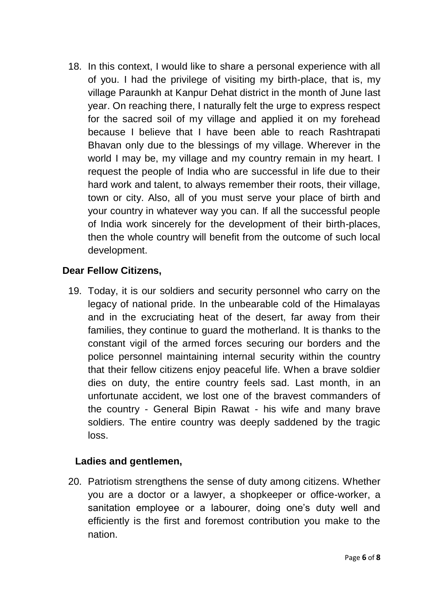18. In this context, I would like to share a personal experience with all of you. I had the privilege of visiting my birth-place, that is, my village Paraunkh at Kanpur Dehat district in the month of June last year. On reaching there, I naturally felt the urge to express respect for the sacred soil of my village and applied it on my forehead because I believe that I have been able to reach Rashtrapati Bhavan only due to the blessings of my village. Wherever in the world I may be, my village and my country remain in my heart. I request the people of India who are successful in life due to their hard work and talent, to always remember their roots, their village, town or city. Also, all of you must serve your place of birth and your country in whatever way you can. If all the successful people of India work sincerely for the development of their birth-places, then the whole country will benefit from the outcome of such local development.

# **Dear Fellow Citizens,**

19. Today, it is our soldiers and security personnel who carry on the legacy of national pride. In the unbearable cold of the Himalayas and in the excruciating heat of the desert, far away from their families, they continue to guard the motherland. It is thanks to the constant vigil of the armed forces securing our borders and the police personnel maintaining internal security within the country that their fellow citizens enjoy peaceful life. When a brave soldier dies on duty, the entire country feels sad. Last month, in an unfortunate accident, we lost one of the bravest commanders of the country - General Bipin Rawat - his wife and many brave soldiers. The entire country was deeply saddened by the tragic loss.

#### **Ladies and gentlemen,**

20. Patriotism strengthens the sense of duty among citizens. Whether you are a doctor or a lawyer, a shopkeeper or office-worker, a sanitation employee or a labourer, doing one's duty well and efficiently is the first and foremost contribution you make to the nation.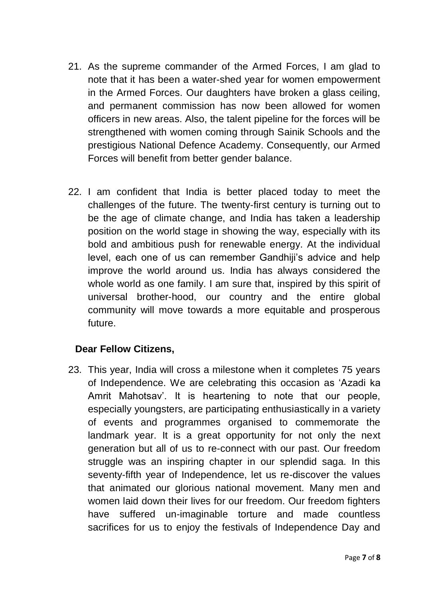- 21. As the supreme commander of the Armed Forces, I am glad to note that it has been a water-shed year for women empowerment in the Armed Forces. Our daughters have broken a glass ceiling, and permanent commission has now been allowed for women officers in new areas. Also, the talent pipeline for the forces will be strengthened with women coming through Sainik Schools and the prestigious National Defence Academy. Consequently, our Armed Forces will benefit from better gender balance.
- 22. I am confident that India is better placed today to meet the challenges of the future. The twenty-first century is turning out to be the age of climate change, and India has taken a leadership position on the world stage in showing the way, especially with its bold and ambitious push for renewable energy. At the individual level, each one of us can remember Gandhiji's advice and help improve the world around us. India has always considered the whole world as one family. I am sure that, inspired by this spirit of universal brother-hood, our country and the entire global community will move towards a more equitable and prosperous future.

# **Dear Fellow Citizens,**

23. This year, India will cross a milestone when it completes 75 years of Independence. We are celebrating this occasion as 'Azadi ka Amrit Mahotsav'. It is heartening to note that our people, especially youngsters, are participating enthusiastically in a variety of events and programmes organised to commemorate the landmark year. It is a great opportunity for not only the next generation but all of us to re-connect with our past. Our freedom struggle was an inspiring chapter in our splendid saga. In this seventy-fifth year of Independence, let us re-discover the values that animated our glorious national movement. Many men and women laid down their lives for our freedom. Our freedom fighters have suffered un-imaginable torture and made countless sacrifices for us to enjoy the festivals of Independence Day and